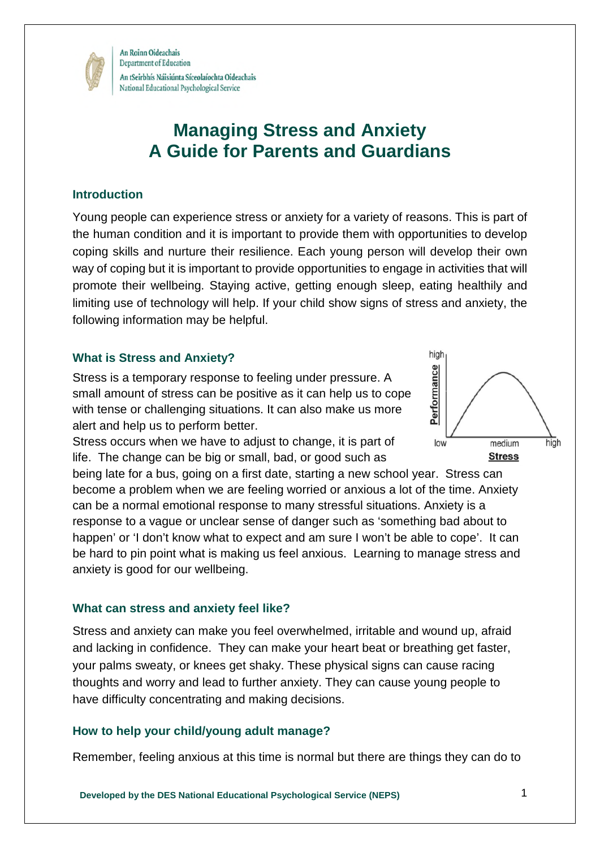

# **Managing Stress and Anxiety A Guide for Parents and Guardians**

## **Introduction**

Young people can experience stress or anxiety for a variety of reasons. This is part of the human condition and it is important to provide them with opportunities to develop coping skills and nurture their resilience. Each young person will develop their own way of coping but it is important to provide opportunities to engage in activities that will promote their wellbeing. Staying active, getting enough sleep, eating healthily and limiting use of technology will help. If your child show signs of stress and anxiety, the following information may be helpful.

#### **What is Stress and Anxiety?**

Stress is a temporary response to feeling under pressure. A small amount of stress can be positive as it can help us to cope with tense or challenging situations. It can also make us more alert and help us to perform better.

Stress occurs when we have to adjust to change, it is part of life. The change can be big or small, bad, or good such as

being late for a bus, going on a first date, starting a new school year. Stress can become a problem when we are feeling worried or anxious a lot of the time. Anxiety can be a normal emotional response to many stressful situations. Anxiety is a response to a vague or unclear sense of danger such as 'something bad about to happen' or 'I don't know what to expect and am sure I won't be able to cope'. It can be hard to pin point what is making us feel anxious. Learning to manage stress and anxiety is good for our wellbeing.

#### **What can stress and anxiety feel like?**

Stress and anxiety can make you feel overwhelmed, irritable and wound up, afraid and lacking in confidence. They can make your heart beat or breathing get faster, your palms sweaty, or knees get shaky. These physical signs can cause racing thoughts and worry and lead to further anxiety. They can cause young people to have difficulty concentrating and making decisions.

#### **How to help your child/young adult manage?**

Remember, feeling anxious at this time is normal but there are things they can do to

medium

**Stress** 

hiah

high

Performance

low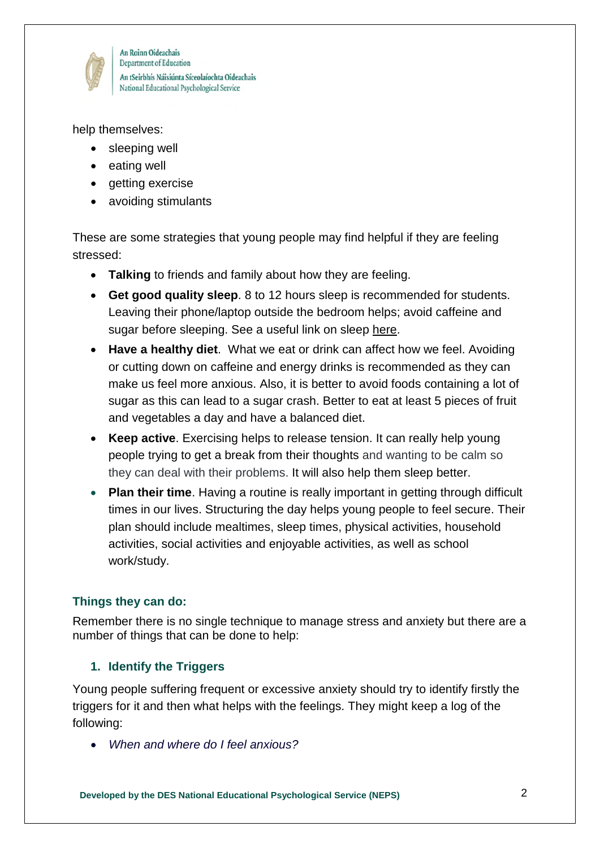

An Roinn Oideachais Department of Education An tSeirbhís Náisiúnta Síceolaíochta Oideachais National Educational Psychological Service

help themselves:

- sleeping well
- eating well
- getting exercise
- avoiding stimulants

These are some strategies that young people may find helpful if they are feeling stressed:

- **Talking** to friends and family about how they are feeling.
- **Get good quality sleep**. 8 to 12 hours sleep is recommended for students. Leaving their phone/laptop outside the bedroom helps; avoid caffeine and sugar before sleeping. See a useful link on sleep [here.](https://www2.hse.ie/healthy-you/shake-off-the-sleep-monster.html)
- **Have a healthy diet**. What we eat or drink can affect how we feel. Avoiding or cutting down on caffeine and energy drinks is recommended as they can make us feel more anxious. Also, it is better to avoid foods containing a lot of sugar as this can lead to a sugar crash. Better to eat at least 5 pieces of fruit and vegetables a day and have a balanced diet.
- **Keep active**. Exercising helps to release tension. It can really help young people trying to get a break from their thoughts and wanting to be calm so they can deal with their problems. It will also help them sleep better.
- **Plan their time**. Having a routine is really important in getting through difficult times in our lives. Structuring the day helps young people to feel secure. Their plan should include mealtimes, sleep times, physical activities, household activities, social activities and enjoyable activities, as well as school work/study.

# **Things they can do:**

Remember there is no single technique to manage stress and anxiety but there are a number of things that can be done to help:

## **1. Identify the Triggers**

Young people suffering frequent or excessive anxiety should try to identify firstly the triggers for it and then what helps with the feelings. They might keep a log of the following:

*When and where do I feel anxious?*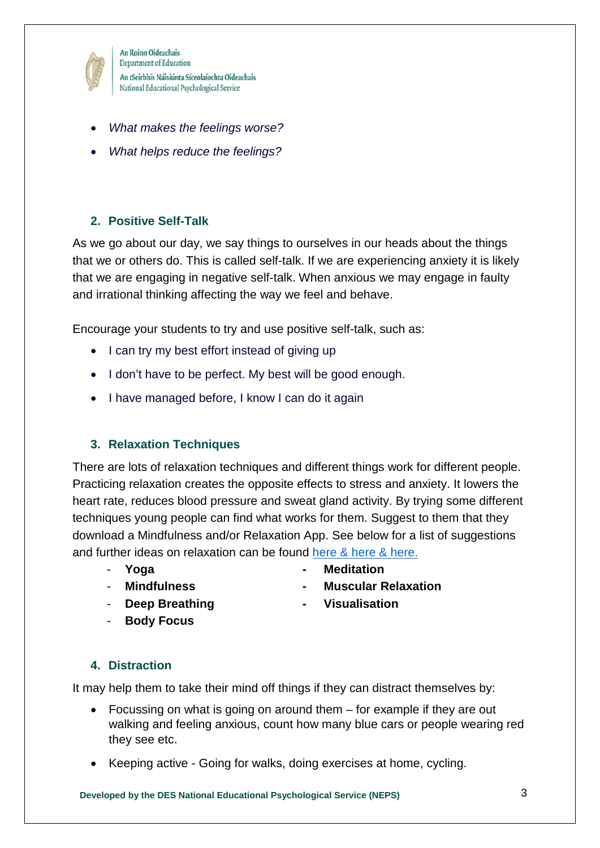

An Roinn Oideachais Department of Education An tSeirbhís Náisiúnta Síceolaíochta Oideachais National Educational Psychological Service

- *What makes the feelings worse?*
- *What helps reduce the feelings?*

# **2. Positive Self-Talk**

As we go about our day, we say things to ourselves in our heads about the things that we or others do. This is called self-talk. If we are experiencing anxiety it is likely that we are engaging in negative self-talk. When anxious we may engage in faulty and irrational thinking affecting the way we feel and behave.

Encourage your students to try and use positive self-talk, such as:

- I can try my best effort instead of giving up
- I don't have to be perfect. My best will be good enough.
- I have managed before, I know I can do it again

## **3. Relaxation Techniques**

There are lots of relaxation techniques and different things work for different people. Practicing relaxation creates the opposite effects to stress and anxiety. It lowers the heart rate, reduces blood pressure and sweat gland activity. By trying some different techniques young people can find what works for them. Suggest to them that they download a Mindfulness and/or Relaxation App. See below for a list of suggestions and further ideas on relaxation can be found [here](https://www.education.ie/en/Schools-Colleges/Services/National-Educational-Psychological-Service-NEPS-/covid-19.html) & [here](https://www2.hse.ie/wellbeing/mental-health/mindfulness.html) & [here.](https://www.pdst.ie/primary/healthwellbeing)

- 
- **Yoga Meditation**
- 
- **Deep Breathing Visualisation**
- 
- **Mindfulness Muscular Relaxation** 
	-
- **Body Focus**

## **4. Distraction**

It may help them to take their mind off things if they can distract themselves by:

- Focussing on what is going on around them for example if they are out walking and feeling anxious, count how many blue cars or people wearing red they see etc.
- Keeping active Going for walks, doing exercises at home, cycling.

**Developed by the DES National Educational Psychological Service (NEPS)** 3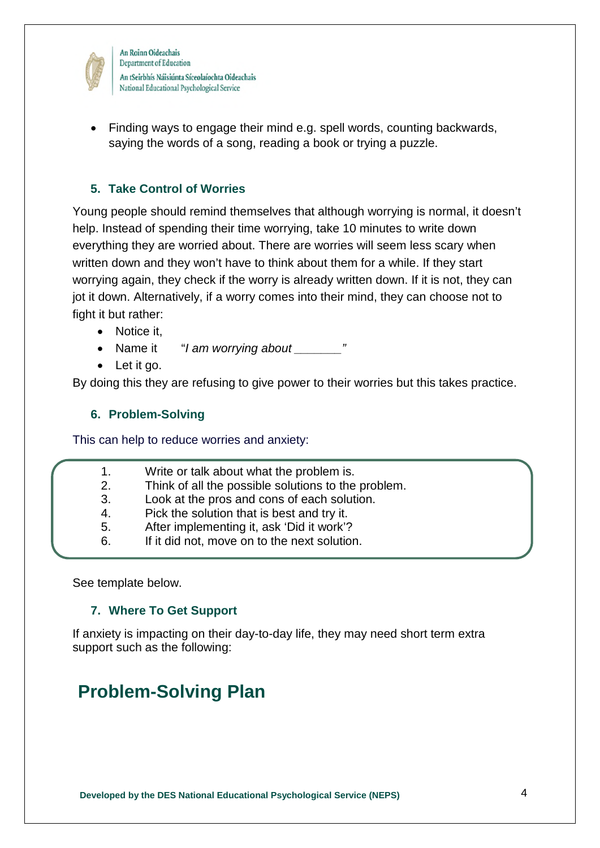

An Roinn Oideachais Department of Education An tSeirbhís Náisiúnta Síceolaíochta Oideachais National Educational Psychological Service

 Finding ways to engage their mind e.g. spell words, counting backwards, saying the words of a song, reading a book or trying a puzzle.

#### **5. Take Control of Worries**

Young people should remind themselves that although worrying is normal, it doesn't help. Instead of spending their time worrying, take 10 minutes to write down everything they are worried about. There are worries will seem less scary when written down and they won't have to think about them for a while. If they start worrying again, they check if the worry is already written down. If it is not, they can jot it down. Alternatively, if a worry comes into their mind, they can choose not to fight it but rather:

- Notice it.
- Name it *"I am worrying about* "
- Let it go.

By doing this they are refusing to give power to their worries but this takes practice.

#### **6. Problem-Solving**

This can help to reduce worries and anxiety:

- 1. Write or talk about what the problem is.
- 2. Think of all the possible solutions to the problem.
- 3. Look at the pros and cons of each solution.
- 4. Pick the solution that is best and try it.
- 5. After implementing it, ask 'Did it work'?
- 6. If it did not, move on to the next solution.

See template below.

#### **7. Where To Get Support**

If anxiety is impacting on their day-to-day life, they may need short term extra support such as the following:

# **Problem-Solving Plan**